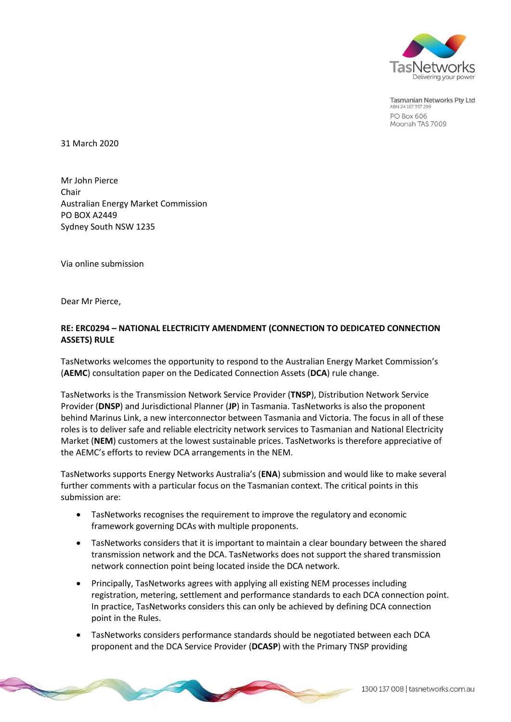

**Tasmanian Networks Pty Ltd** ABN 24 167 357 299 PO Box 606 Moonah TAS 7009

31 March 2020

Mr John Pierce Chair Australian Energy Market Commission PO BOX A2449 Sydney South NSW 1235

Via online submission

Dear Mr Pierce,

# **RE: ERC0294 – NATIONAL ELECTRICITY AMENDMENT (CONNECTION TO DEDICATED CONNECTION ASSETS) RULE**

TasNetworks welcomes the opportunity to respond to the Australian Energy Market Commission's (**AEMC**) consultation paper on the Dedicated Connection Assets (**DCA**) rule change.

TasNetworks is the Transmission Network Service Provider (**TNSP**), Distribution Network Service Provider (**DNSP**) and Jurisdictional Planner (**JP**) in Tasmania. TasNetworks is also the proponent behind Marinus Link, a new interconnector between Tasmania and Victoria. The focus in all of these roles is to deliver safe and reliable electricity network services to Tasmanian and National Electricity Market (**NEM**) customers at the lowest sustainable prices. TasNetworks is therefore appreciative of the AEMC's efforts to review DCA arrangements in the NEM.

TasNetworks supports Energy Networks Australia's (**ENA**) submission and would like to make several further comments with a particular focus on the Tasmanian context. The critical points in this submission are:

- TasNetworks recognises the requirement to improve the regulatory and economic framework governing DCAs with multiple proponents.
- TasNetworks considers that it is important to maintain a clear boundary between the shared transmission network and the DCA. TasNetworks does not support the shared transmission network connection point being located inside the DCA network.
- Principally, TasNetworks agrees with applying all existing NEM processes including registration, metering, settlement and performance standards to each DCA connection point. In practice, TasNetworks considers this can only be achieved by defining DCA connection point in the Rules.
- TasNetworks considers performance standards should be negotiated between each DCA proponent and the DCA Service Provider (**DCASP**) with the Primary TNSP providing

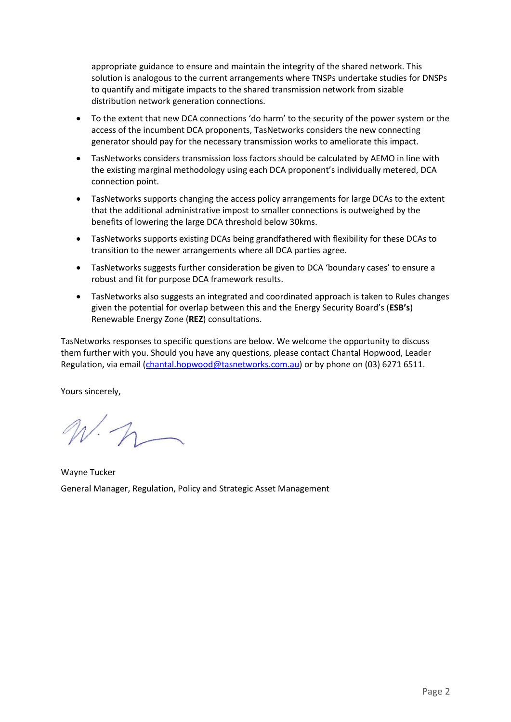appropriate guidance to ensure and maintain the integrity of the shared network. This solution is analogous to the current arrangements where TNSPs undertake studies for DNSPs to quantify and mitigate impacts to the shared transmission network from sizable distribution network generation connections.

- To the extent that new DCA connections 'do harm' to the security of the power system or the access of the incumbent DCA proponents, TasNetworks considers the new connecting generator should pay for the necessary transmission works to ameliorate this impact.
- TasNetworks considers transmission loss factors should be calculated by AEMO in line with the existing marginal methodology using each DCA proponent's individually metered, DCA connection point.
- TasNetworks supports changing the access policy arrangements for large DCAs to the extent that the additional administrative impost to smaller connections is outweighed by the benefits of lowering the large DCA threshold below 30kms.
- TasNetworks supports existing DCAs being grandfathered with flexibility for these DCAs to transition to the newer arrangements where all DCA parties agree.
- TasNetworks suggests further consideration be given to DCA 'boundary cases' to ensure a robust and fit for purpose DCA framework results.
- TasNetworks also suggests an integrated and coordinated approach is taken to Rules changes given the potential for overlap between this and the Energy Security Board's (**ESB's**) Renewable Energy Zone (**REZ**) consultations.

TasNetworks responses to specific questions are below. We welcome the opportunity to discuss them further with you. Should you have any questions, please contact Chantal Hopwood, Leader Regulation, via email [\(chantal.hopwood@tasnetworks.com.au\)](mailto:chantal.hopwood@tasnetworks.com.au) or by phone on (03) 6271 6511.

Yours sincerely,

 $N\cdot 1$ 

Wayne Tucker General Manager, Regulation, Policy and Strategic Asset Management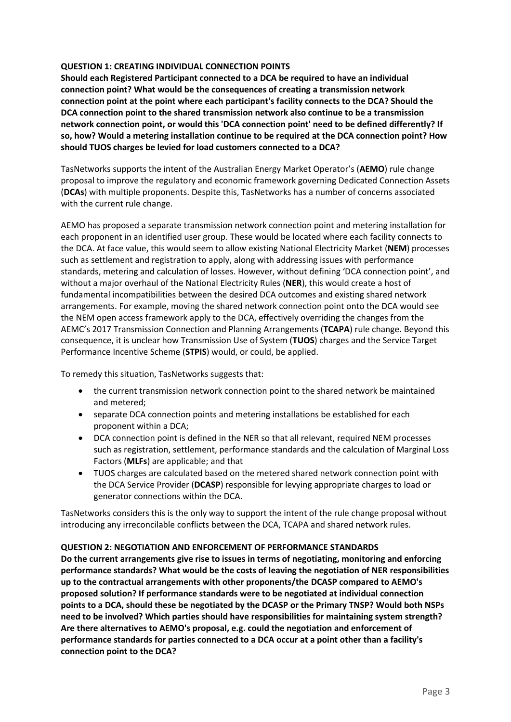## **QUESTION 1: CREATING INDIVIDUAL CONNECTION POINTS**

**Should each Registered Participant connected to a DCA be required to have an individual connection point? What would be the consequences of creating a transmission network connection point at the point where each participant's facility connects to the DCA? Should the DCA connection point to the shared transmission network also continue to be a transmission network connection point, or would this 'DCA connection point' need to be defined differently? If so, how? Would a metering installation continue to be required at the DCA connection point? How should TUOS charges be levied for load customers connected to a DCA?**

TasNetworks supports the intent of the Australian Energy Market Operator's (**AEMO**) rule change proposal to improve the regulatory and economic framework governing Dedicated Connection Assets (**DCAs**) with multiple proponents. Despite this, TasNetworks has a number of concerns associated with the current rule change.

AEMO has proposed a separate transmission network connection point and metering installation for each proponent in an identified user group. These would be located where each facility connects to the DCA. At face value, this would seem to allow existing National Electricity Market (**NEM**) processes such as settlement and registration to apply, along with addressing issues with performance standards, metering and calculation of losses. However, without defining 'DCA connection point', and without a major overhaul of the National Electricity Rules (**NER**), this would create a host of fundamental incompatibilities between the desired DCA outcomes and existing shared network arrangements. For example, moving the shared network connection point onto the DCA would see the NEM open access framework apply to the DCA, effectively overriding the changes from the AEMC's 2017 Transmission Connection and Planning Arrangements (**TCAPA**) rule change. Beyond this consequence, it is unclear how Transmission Use of System (**TUOS**) charges and the Service Target Performance Incentive Scheme (**STPIS**) would, or could, be applied.

To remedy this situation, TasNetworks suggests that:

- the current transmission network connection point to the shared network be maintained and metered;
- separate DCA connection points and metering installations be established for each proponent within a DCA;
- DCA connection point is defined in the NER so that all relevant, required NEM processes such as registration, settlement, performance standards and the calculation of Marginal Loss Factors (**MLFs**) are applicable; and that
- TUOS charges are calculated based on the metered shared network connection point with the DCA Service Provider (**DCASP**) responsible for levying appropriate charges to load or generator connections within the DCA.

TasNetworks considers this is the only way to support the intent of the rule change proposal without introducing any irreconcilable conflicts between the DCA, TCAPA and shared network rules.

# **QUESTION 2: NEGOTIATION AND ENFORCEMENT OF PERFORMANCE STANDARDS**

**Do the current arrangements give rise to issues in terms of negotiating, monitoring and enforcing performance standards? What would be the costs of leaving the negotiation of NER responsibilities up to the contractual arrangements with other proponents/the DCASP compared to AEMO's proposed solution? If performance standards were to be negotiated at individual connection points to a DCA, should these be negotiated by the DCASP or the Primary TNSP? Would both NSPs need to be involved? Which parties should have responsibilities for maintaining system strength? Are there alternatives to AEMO's proposal, e.g. could the negotiation and enforcement of performance standards for parties connected to a DCA occur at a point other than a facility's connection point to the DCA?**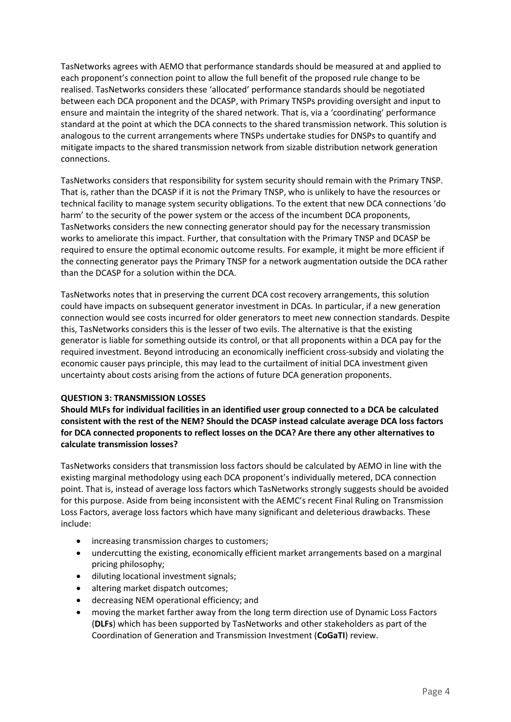TasNetworks agrees with AEMO that performance standards should be measured at and applied to each proponent's connection point to allow the full benefit of the proposed rule change to be realised. TasNetworks considers these 'allocated' performance standards should be negotiated between each DCA proponent and the DCASP, with Primary TNSPs providing oversight and input to ensure and maintain the integrity of the shared network. That is, via a 'coordinating' performance standard at the point at which the DCA connects to the shared transmission network. This solution is analogous to the current arrangements where TNSPs undertake studies for DNSPs to quantify and mitigate impacts to the shared transmission network from sizable distribution network generation connections.

TasNetworks considers that responsibility for system security should remain with the Primary TNSP. That is, rather than the DCASP if it is not the Primary TNSP, who is unlikely to have the resources or technical facility to manage system security obligations. To the extent that new DCA connections 'do harm' to the security of the power system or the access of the incumbent DCA proponents, TasNetworks considers the new connecting generator should pay for the necessary transmission works to ameliorate this impact. Further, that consultation with the Primary TNSP and DCASP be required to ensure the optimal economic outcome results. For example, it might be more efficient if the connecting generator pays the Primary TNSP for a network augmentation outside the DCA rather than the DCASP for a solution within the DCA.

TasNetworks notes that in preserving the current DCA cost recovery arrangements, this solution could have impacts on subsequent generator investment in DCAs. In particular, if a new generation connection would see costs incurred for older generators to meet new connection standards. Despite this, TasNetworks considers this is the lesser of two evils. The alternative is that the existing generator is liable for something outside its control, or that all proponents within a DCA pay for the required investment. Beyond introducing an economically inefficient cross-subsidy and violating the economic causer pays principle, this may lead to the curtailment of initial DCA investment given uncertainty about costs arising from the actions of future DCA generation proponents.

### **QUESTION 3: TRANSMISSION LOSSES**

**Should MLFs for individual facilities in an identified user group connected to a DCA be calculated consistent with the rest of the NEM? Should the DCASP instead calculate average DCA loss factors for DCA connected proponents to reflect losses on the DCA? Are there any other alternatives to calculate transmission losses?**

TasNetworks considers that transmission loss factors should be calculated by AEMO in line with the existing marginal methodology using each DCA proponent's individually metered, DCA connection point. That is, instead of average loss factors which TasNetworks strongly suggests should be avoided for this purpose. Aside from being inconsistent with the AEMC's recent Final Ruling on Transmission Loss Factors, average loss factors which have many significant and deleterious drawbacks. These include:

- increasing transmission charges to customers;
- undercutting the existing, economically efficient market arrangements based on a marginal pricing philosophy;
- $\bullet$  diluting locational investment signals;
- altering market dispatch outcomes;
- decreasing NEM operational efficiency; and
- moving the market farther away from the long term direction use of Dynamic Loss Factors (**DLFs**) which has been supported by TasNetworks and other stakeholders as part of the Coordination of Generation and Transmission Investment (**CoGaTI**) review.